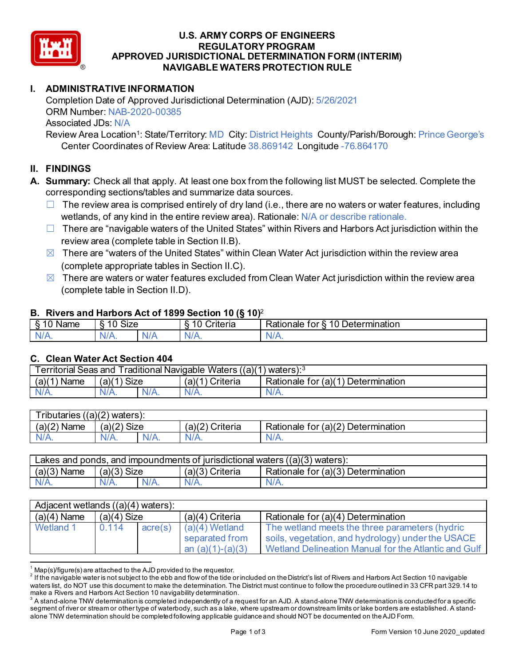

### **U.S. ARMY CORPS OF ENGINEERS REGULATORY PROGRAM APPROVED JURISDICTIONAL DETERMINATION FORM (INTERIM) NAVIGABLE WATERS PROTECTION RULE**

# **I. ADMINISTRATIVE INFORMATION**

Completion Date of Approved Jurisdictional Determination (AJD): 5/26/2021 ORM Number: NAB-2020-00385 Associated JDs: N/A

Review Area Location<sup>1</sup>: State/Territory: MD City: District Heights County/Parish/Borough: Prince George's Center Coordinates of Review Area: Latitude 38.869142 Longitude -76.864170

## **II. FINDINGS**

- **A. Summary:** Check all that apply. At least one box from the following list MUST be selected. Complete the corresponding sections/tables and summarize data sources.
	- $\Box$  The review area is comprised entirely of dry land (i.e., there are no waters or water features, including wetlands, of any kind in the entire review area). Rationale: N/A or describe rationale.
	- $\Box$  There are "navigable waters of the United States" within Rivers and Harbors Act jurisdiction within the review area (complete table in Section II.B).
	- $\boxtimes$  There are "waters of the United States" within Clean Water Act jurisdiction within the review area (complete appropriate tables in Section II.C).
	- $\boxtimes$  There are waters or water features excluded from Clean Water Act jurisdiction within the review area (complete table in Section II.D).

#### **B. Rivers and Harbors Act of 1899 Section 10 (§ 10)**<sup>2</sup>

| Name | <b>Size</b><br>. 10.<br>↷<br>. . |     | w<br>. .<br>-<br>$^{\circ}$ rıt $\cap$ rı $\cap$<br>'le∏a | 10<br>Determination<br>–<br>≺ationale<br>tor<br>ི |
|------|----------------------------------|-----|-----------------------------------------------------------|---------------------------------------------------|
| N/A. | $N/A$ .                          | NI. | $\frac{1}{2}$<br>N/r                                      | NJ.<br>$\mathbf{v}$                               |

### **C. Clean Water Act Section 404**

| <b>Territorial Seas and</b><br>Traditional Navigable Waters $((a)(1)$ waters): $3$ |                |         |                    |                                         |  |  |
|------------------------------------------------------------------------------------|----------------|---------|--------------------|-----------------------------------------|--|--|
| (a)(1)<br>Name                                                                     | Size<br>(a)(1) |         | (a)(1)<br>Criteria | Determination<br>Rationale for $(a)(1)$ |  |  |
| $N/A$ .                                                                            | $N/A$ .        | $N/A$ . | $N/A$ .            | N/A.                                    |  |  |

| ((a)(2)<br>$ -$<br>ributaries<br>waters): |             |         |                         |                                             |  |  |
|-------------------------------------------|-------------|---------|-------------------------|---------------------------------------------|--|--|
| (a)(2)<br>Name                            | (a)(2) Size |         | $(a)$ $(2)$<br>Criteria | (a)(2)<br>Determination<br>tor<br>Rationale |  |  |
| $N/A$ .                                   | 'V/A.       | $N/A$ . | $N/A$ .                 | 97 A                                        |  |  |

| Lakes and ponds, and impoundments of jurisdictional waters $((a)(3)$ waters): |                |  |                    |                                    |  |  |
|-------------------------------------------------------------------------------|----------------|--|--------------------|------------------------------------|--|--|
| (a)(3)<br>Name                                                                | (a)(3`<br>Size |  | (a)(3)<br>Criteria | Rationale for (a)(3) Determination |  |  |
|                                                                               | N/A.           |  | $N/A$ .            | N/A.                               |  |  |

| Adjacent wetlands $((a)(4)$ waters): |               |         |                                                          |                                                                                                                                                             |  |  |
|--------------------------------------|---------------|---------|----------------------------------------------------------|-------------------------------------------------------------------------------------------------------------------------------------------------------------|--|--|
| $(a)(4)$ Name                        | $(a)(4)$ Size |         | $(a)(4)$ Criteria                                        | Rationale for (a)(4) Determination                                                                                                                          |  |  |
| Wetland 1                            | 0.114         | acre(s) | $(a)(4)$ Wetland<br>separated from<br>an $(a)(1)-(a)(3)$ | The wetland meets the three parameters (hydric<br>soils, vegetation, and hydrology) under the USACE<br>Wetland Delineation Manual for the Atlantic and Gulf |  |  |

 $^1$  Map(s)/figure(s) are attached to the AJD provided to the requestor.<br><sup>2</sup> If the navigable water is not subject to the ebb and flow of the tide or included on the District's list of Rivers and Harbors Act Section 10 na waters list, do NOT use this document to make the determination. The District must continue to follow the procedure outlined in 33 CFR part 329.14 to make a Rivers and Harbors Act Section 10 navigability determination.

 $^3$  A stand-alone TNW determination is completed independently of a request for an AJD. A stand-alone TNW determination is conducted for a specific segment of river or stream or other type of waterbody, such as a lake, where upstream or downstream limits or lake borders are established. A standalone TNW determination should be completed following applicable guidance and should NOT be documented on the AJD Form.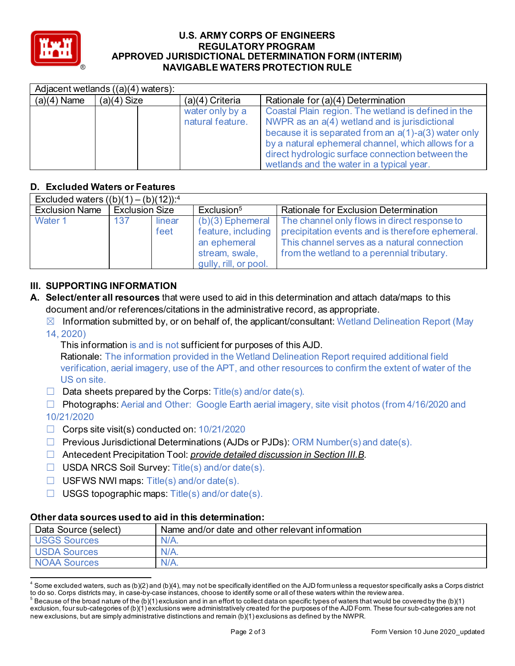

#### **U.S. ARMY CORPS OF ENGINEERS REGULATORY PROGRAM APPROVED JURISDICTIONAL DETERMINATION FORM (INTERIM) NAVIGABLE WATERS PROTECTION RULE**

|               | Adjacent wetlands $((a)(4)$ waters): |                                     |                                                                                                                                                                                                                                                                                                                           |  |  |  |
|---------------|--------------------------------------|-------------------------------------|---------------------------------------------------------------------------------------------------------------------------------------------------------------------------------------------------------------------------------------------------------------------------------------------------------------------------|--|--|--|
| $(a)(4)$ Name | $(a)(4)$ Size                        | $(a)(4)$ Criteria                   | Rationale for (a)(4) Determination                                                                                                                                                                                                                                                                                        |  |  |  |
|               |                                      | water only by a<br>natural feature. | Coastal Plain region. The wetland is defined in the<br>NWPR as an a(4) wetland and is jurisdictional<br>because it is separated from an $a(1)$ - $a(3)$ water only<br>by a natural ephemeral channel, which allows for a<br>direct hydrologic surface connection between the<br>wetlands and the water in a typical year. |  |  |  |

## **D. Excluded Waters or Features**

| Excluded waters $((b)(1) - (b)(12))$ : <sup>4</sup> |                       |                |                                                         |                                                                                                                                                                                                                                       |  |  |
|-----------------------------------------------------|-----------------------|----------------|---------------------------------------------------------|---------------------------------------------------------------------------------------------------------------------------------------------------------------------------------------------------------------------------------------|--|--|
| <b>Exclusion Name</b>                               | <b>Exclusion Size</b> |                | Exclusion <sup>5</sup>                                  | <b>Rationale for Exclusion Determination</b>                                                                                                                                                                                          |  |  |
| Water 1                                             | 137                   | linear<br>feet | an ephemeral<br>stream, swale,<br>gully, rill, or pool. | $(b)(3)$ Ephemeral The channel only flows in direct response to<br>feature, including   precipitation events and is therefore ephemeral.<br>This channel serves as a natural connection<br>from the wetland to a perennial tributary. |  |  |

## **III. SUPPORTING INFORMATION**

- **A. Select/enter all resources** that were used to aid in this determination and attach data/maps to this document and/or references/citations in the administrative record, as appropriate.
	- $\boxtimes$  Information submitted by, or on behalf of, the applicant/consultant: Wetland Delineation Report (May 14, 2020)
		- This information is and is not sufficient for purposes of this AJD. Rationale: The information provided in the Wetland Delineation Report required additional field verification, aerial imagery, use of the APT, and other resources to confirm the extent of water of the

US on site.

 $\Box$  Data sheets prepared by the Corps: Title(s) and/or date(s).

☐ Photographs: Aerial and Other: Google Earth aerial imagery, site visit photos (from 4/16/2020 and

# 10/21/2020

- ☐ Corps site visit(s) conducted on: 10/21/2020
- $\Box$  Previous Jurisdictional Determinations (AJDs or PJDs): ORM Number(s) and date(s).
- ☐ Antecedent Precipitation Tool: *provide detailed discussion in Section III.B*.
- ☐ USDA NRCS Soil Survey: Title(s) and/or date(s).
- ☐ USFWS NWI maps: Title(s) and/or date(s).
- $\Box$  USGS topographic maps: Title(s) and/or date(s).

### **Other data sources used to aid in this determination:**

| Data Source (select) | Name and/or date and other relevant information |
|----------------------|-------------------------------------------------|
| <b>USGS Sources</b>  | $N/A$ .                                         |
| <b>USDA Sources</b>  | $N/A$ .                                         |
| <b>NOAA Sources</b>  | $N/A$ .                                         |

 $4$  Some excluded waters, such as (b)(2) and (b)(4), may not be specifically identified on the AJD form unless a requestor specifically asks a Corps district to do so. Corps districts may, in case-by-case instances, choose to identify some or all of these waters within the review area.

 $^5$  Because of the broad nature of the (b)(1) exclusion and in an effort to collect data on specific types of waters that would be covered by the (b)(1) exclusion, four sub-categories of (b)(1) exclusions were administratively created for the purposes of the AJD Form. These four sub-categories are not new exclusions, but are simply administrative distinctions and remain (b)(1) exclusions as defined by the NWPR.